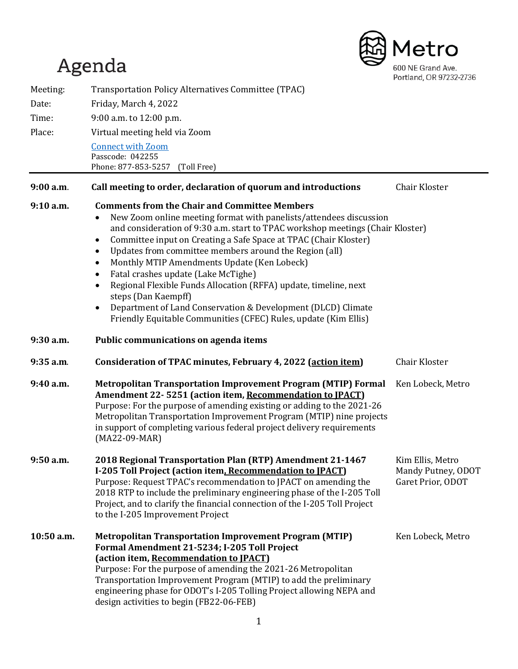# Agenda



| Meeting:    | Transportation Policy Alternatives Committee (TPAC)                                                                                                                                                                                                                                                                                                                                                                                                                                                                                                                                                                                                                                                             |                                                             |
|-------------|-----------------------------------------------------------------------------------------------------------------------------------------------------------------------------------------------------------------------------------------------------------------------------------------------------------------------------------------------------------------------------------------------------------------------------------------------------------------------------------------------------------------------------------------------------------------------------------------------------------------------------------------------------------------------------------------------------------------|-------------------------------------------------------------|
| Date:       | Friday, March 4, 2022                                                                                                                                                                                                                                                                                                                                                                                                                                                                                                                                                                                                                                                                                           |                                                             |
| Time:       | 9:00 a.m. to 12:00 p.m.                                                                                                                                                                                                                                                                                                                                                                                                                                                                                                                                                                                                                                                                                         |                                                             |
| Place:      | Virtual meeting held via Zoom                                                                                                                                                                                                                                                                                                                                                                                                                                                                                                                                                                                                                                                                                   |                                                             |
|             | <b>Connect with Zoom</b><br>Passcode: 042255<br>Phone: 877-853-5257<br>(Toll Free)                                                                                                                                                                                                                                                                                                                                                                                                                                                                                                                                                                                                                              |                                                             |
| $9:00$ a.m. | Call meeting to order, declaration of quorum and introductions                                                                                                                                                                                                                                                                                                                                                                                                                                                                                                                                                                                                                                                  | Chair Kloster                                               |
| $9:10$ a.m. | <b>Comments from the Chair and Committee Members</b><br>New Zoom online meeting format with panelists/attendees discussion<br>and consideration of 9:30 a.m. start to TPAC workshop meetings (Chair Kloster)<br>Committee input on Creating a Safe Space at TPAC (Chair Kloster)<br>٠<br>Updates from committee members around the Region (all)<br>٠<br>Monthly MTIP Amendments Update (Ken Lobeck)<br>$\bullet$<br>Fatal crashes update (Lake McTighe)<br>$\bullet$<br>Regional Flexible Funds Allocation (RFFA) update, timeline, next<br>$\bullet$<br>steps (Dan Kaempff)<br>Department of Land Conservation & Development (DLCD) Climate<br>Friendly Equitable Communities (CFEC) Rules, update (Kim Ellis) |                                                             |
| $9:30$ a.m. | Public communications on agenda items                                                                                                                                                                                                                                                                                                                                                                                                                                                                                                                                                                                                                                                                           |                                                             |
| $9:35$ a.m. | Consideration of TPAC minutes, February 4, 2022 (action item)                                                                                                                                                                                                                                                                                                                                                                                                                                                                                                                                                                                                                                                   | Chair Kloster                                               |
| 9:40 a.m.   | <b>Metropolitan Transportation Improvement Program (MTIP) Formal</b><br>Amendment 22-5251 (action item, Recommendation to IPACT)<br>Purpose: For the purpose of amending existing or adding to the 2021-26<br>Metropolitan Transportation Improvement Program (MTIP) nine projects<br>in support of completing various federal project delivery requirements<br>$(MA22-09-MAR)$                                                                                                                                                                                                                                                                                                                                 | Ken Lobeck, Metro                                           |
| 9:50a.m     | 2018 Regional Transportation Plan (RTP) Amendment 21-1467<br>I-205 Toll Project (action item, Recommendation to IPACT)<br>Purpose: Request TPAC's recommendation to JPACT on amending the<br>2018 RTP to include the preliminary engineering phase of the I-205 Toll<br>Project, and to clarify the financial connection of the I-205 Toll Project<br>to the I-205 Improvement Project                                                                                                                                                                                                                                                                                                                          | Kim Ellis, Metro<br>Mandy Putney, ODOT<br>Garet Prior, ODOT |
| 10:50 a.m.  | <b>Metropolitan Transportation Improvement Program (MTIP)</b><br>Formal Amendment 21-5234; I-205 Toll Project<br>(action item, Recommendation to IPACT)<br>Purpose: For the purpose of amending the 2021-26 Metropolitan<br>Transportation Improvement Program (MTIP) to add the preliminary<br>engineering phase for ODOT's I-205 Tolling Project allowing NEPA and<br>design activities to begin (FB22-06-FEB)                                                                                                                                                                                                                                                                                                | Ken Lobeck, Metro                                           |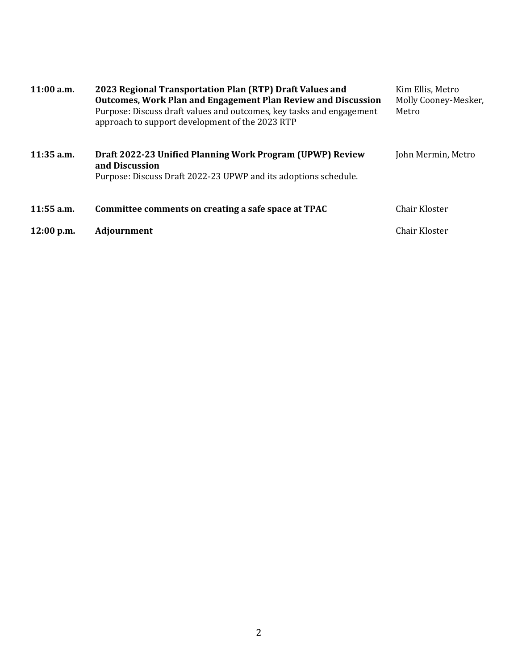| $11:00$ a.m. | 2023 Regional Transportation Plan (RTP) Draft Values and<br>Outcomes, Work Plan and Engagement Plan Review and Discussion<br>Purpose: Discuss draft values and outcomes, key tasks and engagement<br>approach to support development of the 2023 RTP | Kim Ellis, Metro<br>Molly Cooney-Mesker,<br>Metro |
|--------------|------------------------------------------------------------------------------------------------------------------------------------------------------------------------------------------------------------------------------------------------------|---------------------------------------------------|
| $11:35$ a.m. | Draft 2022-23 Unified Planning Work Program (UPWP) Review<br>and Discussion<br>Purpose: Discuss Draft 2022-23 UPWP and its adoptions schedule.                                                                                                       | John Mermin, Metro                                |
| $11:55$ a.m. | Committee comments on creating a safe space at TPAC                                                                                                                                                                                                  | Chair Kloster                                     |
| $12:00$ p.m. | <b>Adjournment</b>                                                                                                                                                                                                                                   | Chair Kloster                                     |